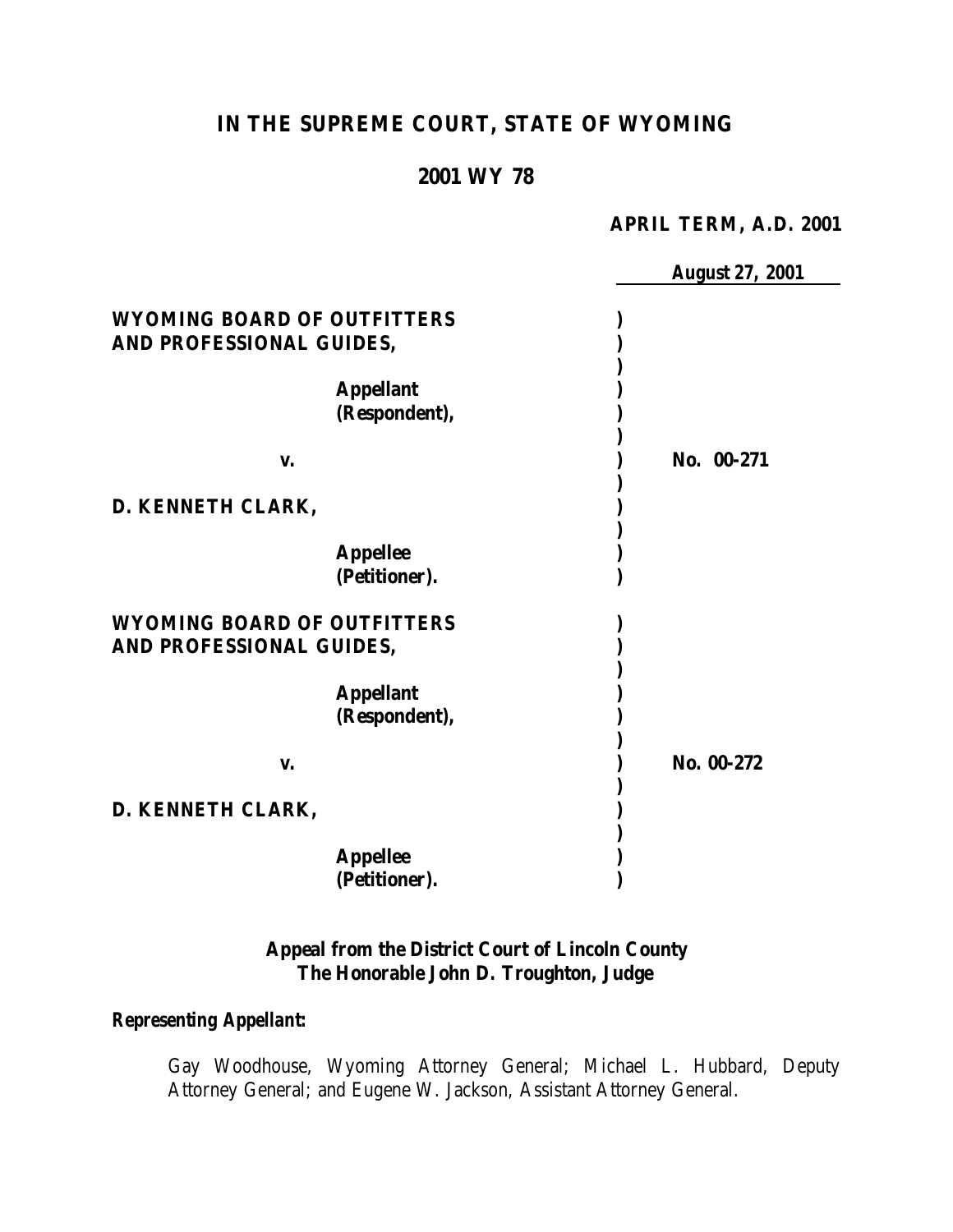# **IN THE SUPREME COURT, STATE OF WYOMING**

## **2001 WY 78**

#### **APRIL TERM, A.D. 2001**

|                                                                | <b>August 27, 2001</b> |
|----------------------------------------------------------------|------------------------|
| <b>WYOMING BOARD OF OUTFITTERS</b><br>AND PROFESSIONAL GUIDES, |                        |
| <b>Appellant</b><br>(Respondent),                              |                        |
| V.                                                             | No. 00-271             |
| D. KENNETH CLARK,                                              |                        |
| <b>Appellee</b><br>(Petitioner).                               |                        |
| <b>WYOMING BOARD OF OUTFITTERS</b><br>AND PROFESSIONAL GUIDES, |                        |
| <b>Appellant</b><br>(Respondent),                              |                        |
| V.                                                             | No. 00-272             |
| D. KENNETH CLARK,                                              |                        |
| <b>Appellee</b><br>(Petitioner).                               |                        |

### **Appeal from the District Court of Lincoln County The Honorable John D. Troughton, Judge**

### *Representing Appellant:*

Gay Woodhouse, Wyoming Attorney General; Michael L. Hubbard, Deputy Attorney General; and Eugene W. Jackson, Assistant Attorney General.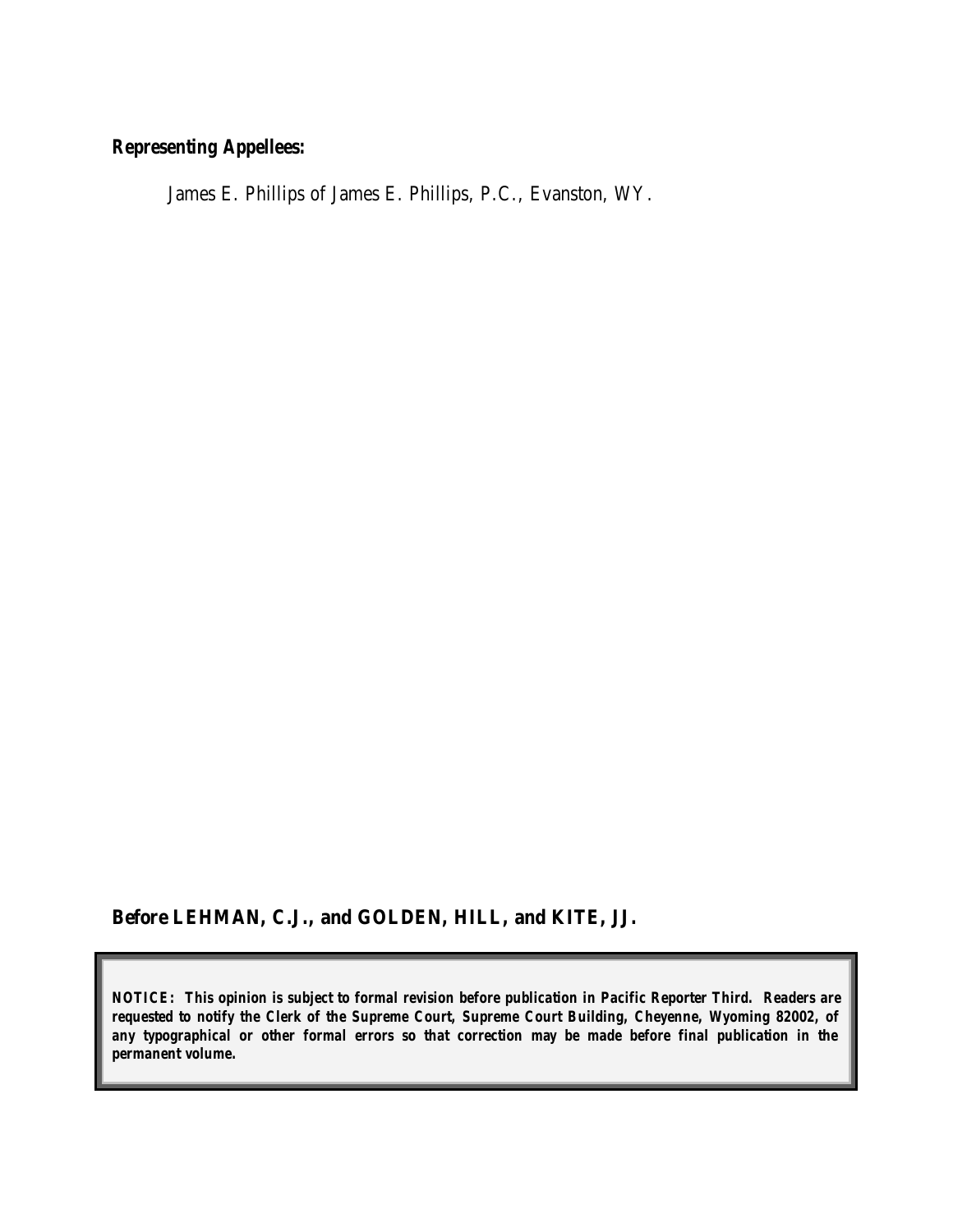## *Representing Appellees:*

James E. Phillips of James E. Phillips, P.C., Evanston, WY.

**Before LEHMAN, C.J., and GOLDEN, HILL, and KITE, JJ.**

*NOTICE: This opinion is subject to formal revision before publication in Pacific Reporter Third. Readers are requested to notify the Clerk of the Supreme Court, Supreme Court Building, Cheyenne, Wyoming 82002, of any typographical or other formal errors so that correction may be made before final publication in the permanent volume.*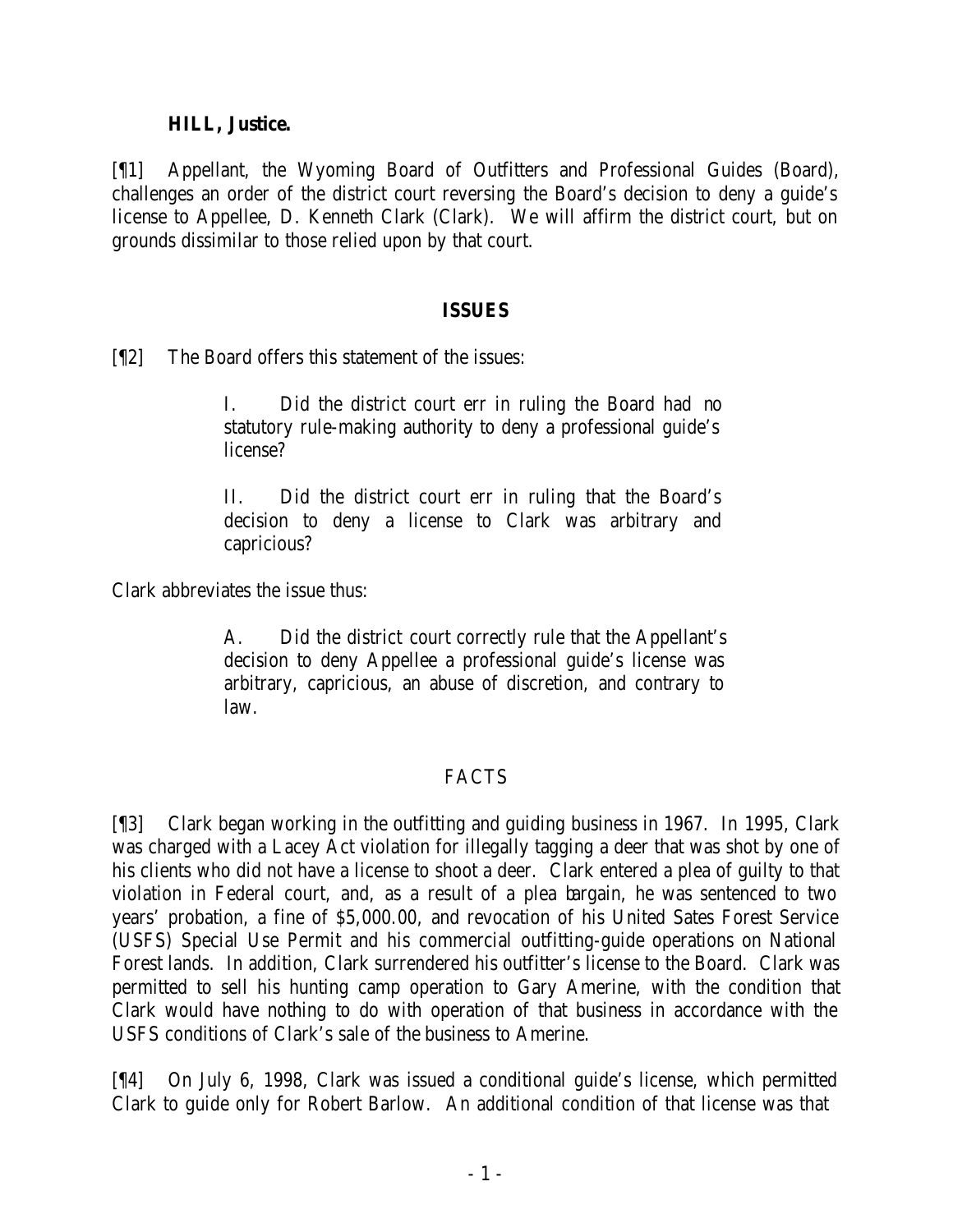#### **HILL, Justice.**

[¶1] Appellant, the Wyoming Board of Outfitters and Professional Guides (Board), challenges an order of the district court reversing the Board's decision to deny a guide's license to Appellee, D. Kenneth Clark (Clark). We will affirm the district court, but on grounds dissimilar to those relied upon by that court.

### **ISSUES**

[¶2] The Board offers this statement of the issues:

I. Did the district court err in ruling the Board had no statutory rule-making authority to deny a professional guide's license?

II. Did the district court err in ruling that the Board's decision to deny a license to Clark was arbitrary and capricious?

Clark abbreviates the issue thus:

A. Did the district court correctly rule that the Appellant's decision to deny Appellee a professional guide's license was arbitrary, capricious, an abuse of discretion, and contrary to law.

## FACTS

[¶3] Clark began working in the outfitting and guiding business in 1967. In 1995, Clark was charged with a Lacey Act violation for illegally tagging a deer that was shot by one of his clients who did not have a license to shoot a deer. Clark entered a plea of guilty to that violation in Federal court, and, as a result of a plea bargain, he was sentenced to two years' probation, a fine of \$5,000.00, and revocation of his United Sates Forest Service (USFS) Special Use Permit and his commercial outfitting-guide operations on National Forest lands. In addition, Clark surrendered his outfitter's license to the Board. Clark was permitted to sell his hunting camp operation to Gary Amerine, with the condition that Clark would have nothing to do with operation of that business in accordance with the USFS conditions of Clark's sale of the business to Amerine.

[¶4] On July 6, 1998, Clark was issued a conditional guide's license, which permitted Clark to guide only for Robert Barlow. An additional condition of that license was that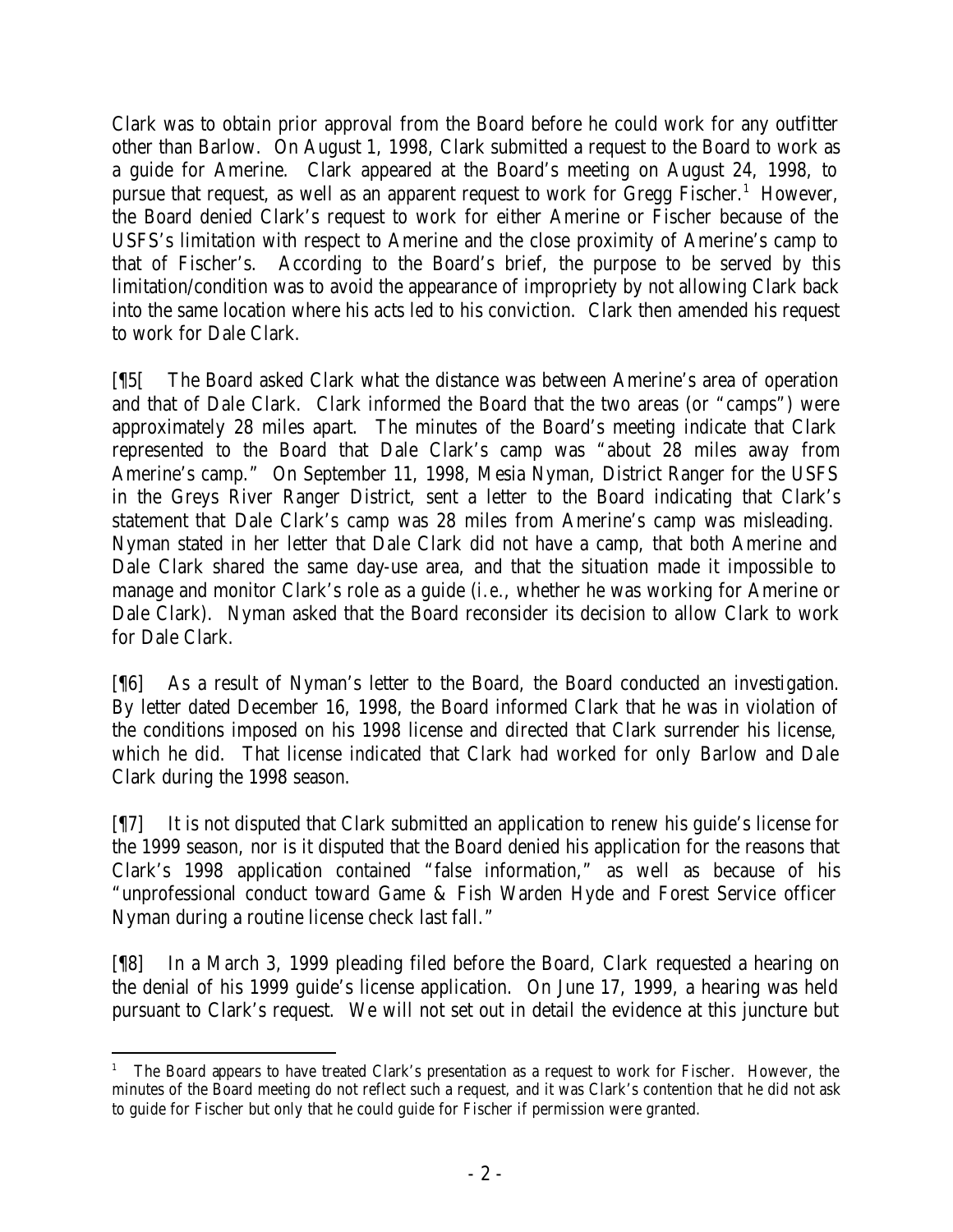Clark was to obtain prior approval from the Board before he could work for any outfitter other than Barlow. On August 1, 1998, Clark submitted a request to the Board to work as a guide for Amerine. Clark appeared at the Board's meeting on August 24, 1998, to pursue that request, as well as an apparent request to work for Gregg Fischer.<sup>1</sup> However, the Board denied Clark's request to work for either Amerine or Fischer because of the USFS's limitation with respect to Amerine and the close proximity of Amerine's camp to that of Fischer's. According to the Board's brief, the purpose to be served by this limitation/condition was to avoid the appearance of impropriety by not allowing Clark back into the same location where his acts led to his conviction. Clark then amended his request to work for Dale Clark.

[¶5[ The Board asked Clark what the distance was between Amerine's area of operation and that of Dale Clark. Clark informed the Board that the two areas (or "camps") were approximately 28 miles apart. The minutes of the Board's meeting indicate that Clark represented to the Board that Dale Clark's camp was "about 28 miles away from Amerine's camp." On September 11, 1998, Mesia Nyman, District Ranger for the USFS in the Greys River Ranger District, sent a letter to the Board indicating that Clark's statement that Dale Clark's camp was 28 miles from Amerine's camp was misleading. Nyman stated in her letter that Dale Clark did not have a camp, that both Amerine and Dale Clark shared the same day-use area, and that the situation made it impossible to manage and monitor Clark's role as a guide (*i.e.*, whether he was working for Amerine or Dale Clark). Nyman asked that the Board reconsider its decision to allow Clark to work for Dale Clark.

[¶6] As a result of Nyman's letter to the Board, the Board conducted an investigation. By letter dated December 16, 1998, the Board informed Clark that he was in violation of the conditions imposed on his 1998 license and directed that Clark surrender his license, which he did. That license indicated that Clark had worked for only Barlow and Dale Clark during the 1998 season.

[¶7] It is not disputed that Clark submitted an application to renew his guide's license for the 1999 season, nor is it disputed that the Board denied his application for the reasons that Clark's 1998 application contained "false information," as well as because of his "unprofessional conduct toward Game & Fish Warden Hyde and Forest Service officer Nyman during a routine license check last fall."

[¶8] In a March 3, 1999 pleading filed before the Board, Clark requested a hearing on the denial of his 1999 guide's license application. On June 17, 1999, a hearing was held pursuant to Clark's request. We will not set out in detail the evidence at this juncture but

 1 The Board appears to have treated Clark's presentation as a request to work for Fischer. However, the minutes of the Board meeting do not reflect such a request, and it was Clark's contention that he did not ask to guide for Fischer but only that he could guide for Fischer if permission were granted.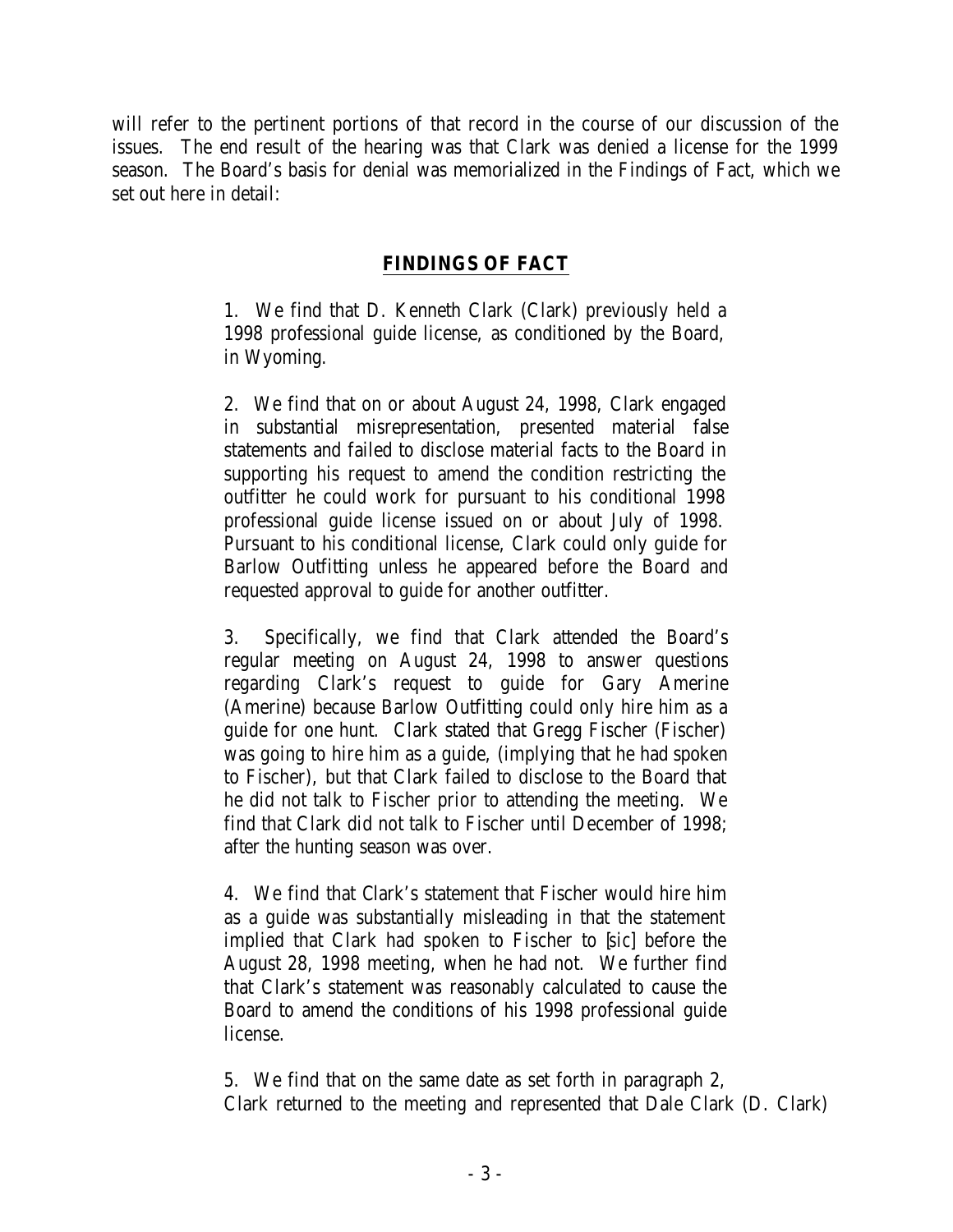will refer to the pertinent portions of that record in the course of our discussion of the issues. The end result of the hearing was that Clark was denied a license for the 1999 season. The Board's basis for denial was memorialized in the Findings of Fact, which we set out here in detail:

## **FINDINGS OF FACT**

1. We find that D. Kenneth Clark (Clark) previously held a 1998 professional guide license, as conditioned by the Board, in Wyoming.

2. We find that on or about August 24, 1998, Clark engaged in substantial misrepresentation, presented material false statements and failed to disclose material facts to the Board in supporting his request to amend the condition restricting the outfitter he could work for pursuant to his conditional 1998 professional guide license issued on or about July of 1998. Pursuant to his conditional license, Clark could only guide for Barlow Outfitting unless he appeared before the Board and requested approval to guide for another outfitter.

3. Specifically, we find that Clark attended the Board's regular meeting on August 24, 1998 to answer questions regarding Clark's request to guide for Gary Amerine (Amerine) because Barlow Outfitting could only hire him as a guide for one hunt. Clark stated that Gregg Fischer (Fischer) was going to hire him as a guide, (implying that he had spoken to Fischer), but that Clark failed to disclose to the Board that he did not talk to Fischer prior to attending the meeting. We find that Clark did not talk to Fischer until December of 1998; after the hunting season was over.

4. We find that Clark's statement that Fischer would hire him as a guide was substantially misleading in that the statement implied that Clark had spoken to Fischer to [*sic*] before the August 28, 1998 meeting, when he had not. We further find that Clark's statement was reasonably calculated to cause the Board to amend the conditions of his 1998 professional guide license.

5. We find that on the same date as set forth in paragraph 2, Clark returned to the meeting and represented that Dale Clark (D. Clark)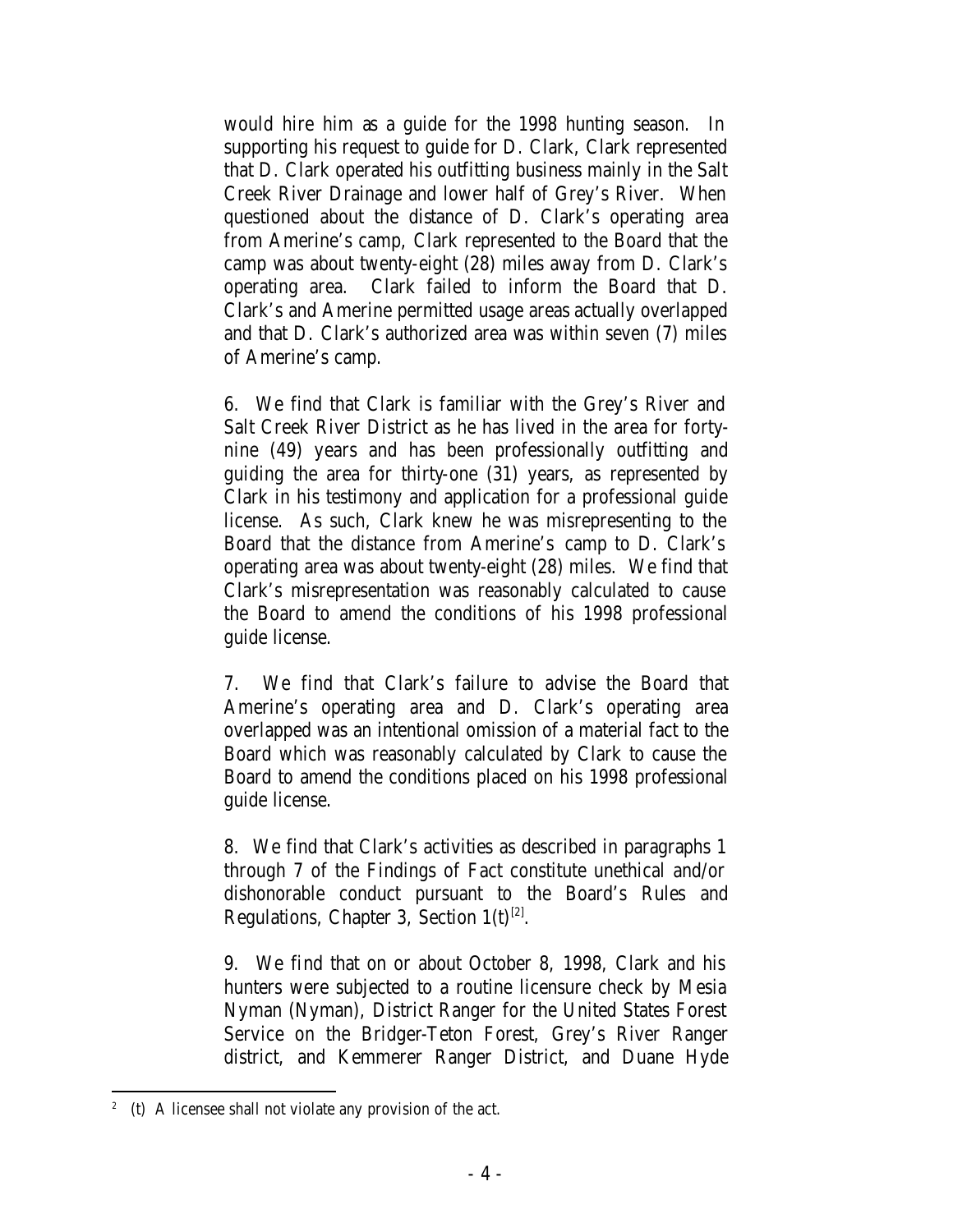would hire him as a guide for the 1998 hunting season. In supporting his request to guide for D. Clark, Clark represented that D. Clark operated his outfitting business mainly in the Salt Creek River Drainage and lower half of Grey's River. When questioned about the distance of D. Clark's operating area from Amerine's camp, Clark represented to the Board that the camp was about twenty-eight (28) miles away from D. Clark's operating area. Clark failed to inform the Board that D. Clark's and Amerine permitted usage areas actually overlapped and that D. Clark's authorized area was within seven (7) miles of Amerine's camp.

6. We find that Clark is familiar with the Grey's River and Salt Creek River District as he has lived in the area for fortynine (49) years and has been professionally outfitting and guiding the area for thirty-one (31) years, as represented by Clark in his testimony and application for a professional guide license. As such, Clark knew he was misrepresenting to the Board that the distance from Amerine's camp to D. Clark's operating area was about twenty-eight (28) miles. We find that Clark's misrepresentation was reasonably calculated to cause the Board to amend the conditions of his 1998 professional guide license.

7. We find that Clark's failure to advise the Board that Amerine's operating area and D. Clark's operating area overlapped was an intentional omission of a material fact to the Board which was reasonably calculated by Clark to cause the Board to amend the conditions placed on his 1998 professional guide license.

8. We find that Clark's activities as described in paragraphs 1 through 7 of the Findings of Fact constitute unethical and/or dishonorable conduct pursuant to the Board's Rules and Regulations, Chapter 3, Section  $1(t)^{[2]}$ .

9. We find that on or about October 8, 1998, Clark and his hunters were subjected to a routine licensure check by Mesia Nyman (Nyman), District Ranger for the United States Forest Service on the Bridger-Teton Forest, Grey's River Ranger district, and Kemmerer Ranger District, and Duane Hyde

 <sup>2</sup> (t) A licensee shall not violate any provision of the act.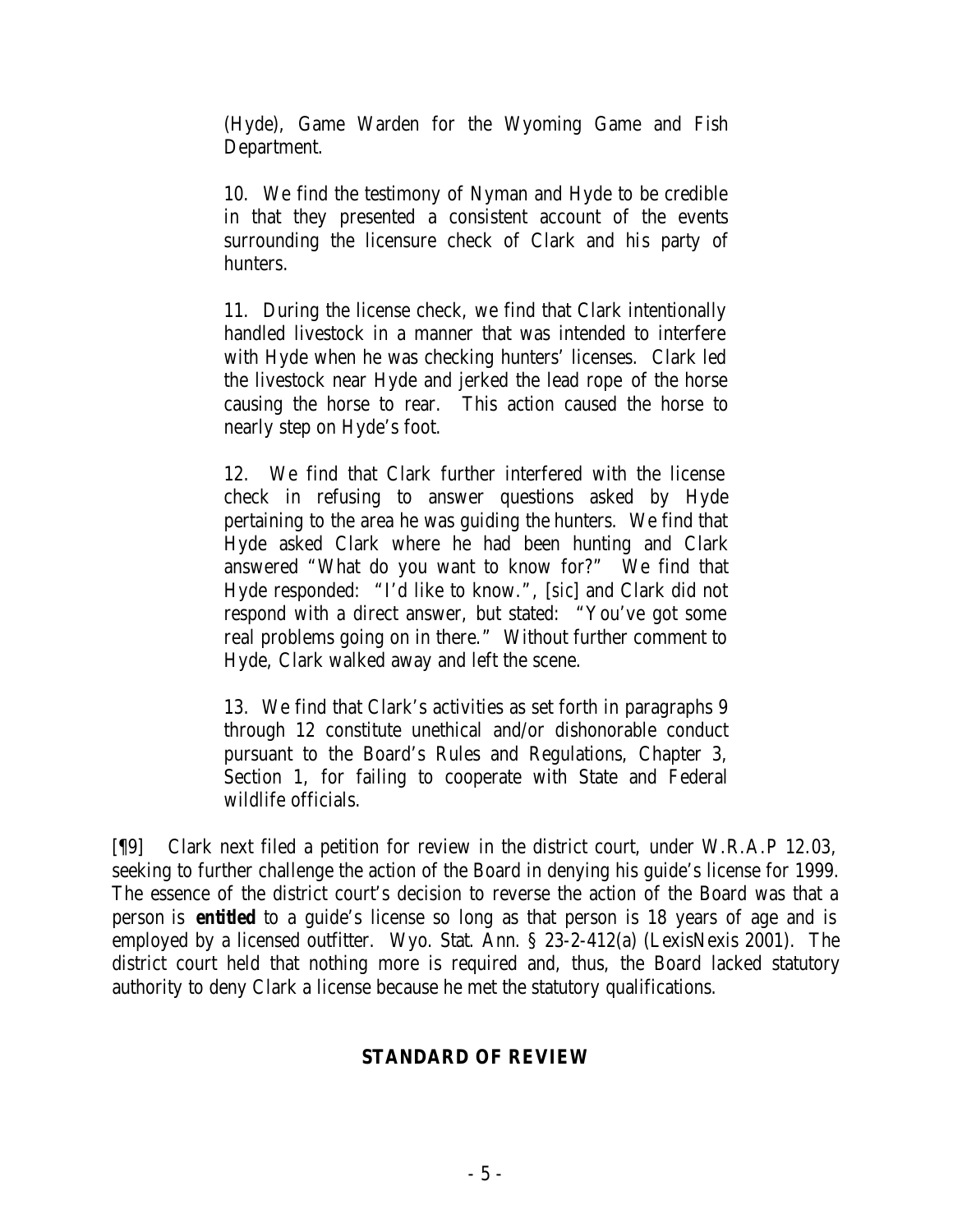(Hyde), Game Warden for the Wyoming Game and Fish Department.

10. We find the testimony of Nyman and Hyde to be credible in that they presented a consistent account of the events surrounding the licensure check of Clark and his party of hunters.

11. During the license check, we find that Clark intentionally handled livestock in a manner that was intended to interfere with Hyde when he was checking hunters' licenses. Clark led the livestock near Hyde and jerked the lead rope of the horse causing the horse to rear. This action caused the horse to nearly step on Hyde's foot.

12. We find that Clark further interfered with the license check in refusing to answer questions asked by Hyde pertaining to the area he was guiding the hunters. We find that Hyde asked Clark where he had been hunting and Clark answered "What do you want to know for?" We find that Hyde responded: "I'd like to know.", [*sic*] and Clark did not respond with a direct answer, but stated: "You've got some real problems going on in there." Without further comment to Hyde, Clark walked away and left the scene.

13. We find that Clark's activities as set forth in paragraphs 9 through 12 constitute unethical and/or dishonorable conduct pursuant to the Board's Rules and Regulations, Chapter 3, Section 1, for failing to cooperate with State and Federal wildlife officials.

[¶9] Clark next filed a petition for review in the district court, under W.R.A.P 12.03, seeking to further challenge the action of the Board in denying his guide's license for 1999. The essence of the district court's decision to reverse the action of the Board was that a person is *entitled* to a guide's license so long as that person is 18 years of age and is employed by a licensed outfitter. Wyo. Stat. Ann. § 23-2-412(a) (LexisNexis 2001). The district court held that nothing more is required and, thus, the Board lacked statutory authority to deny Clark a license because he met the statutory qualifications.

### **STANDARD OF REVIEW**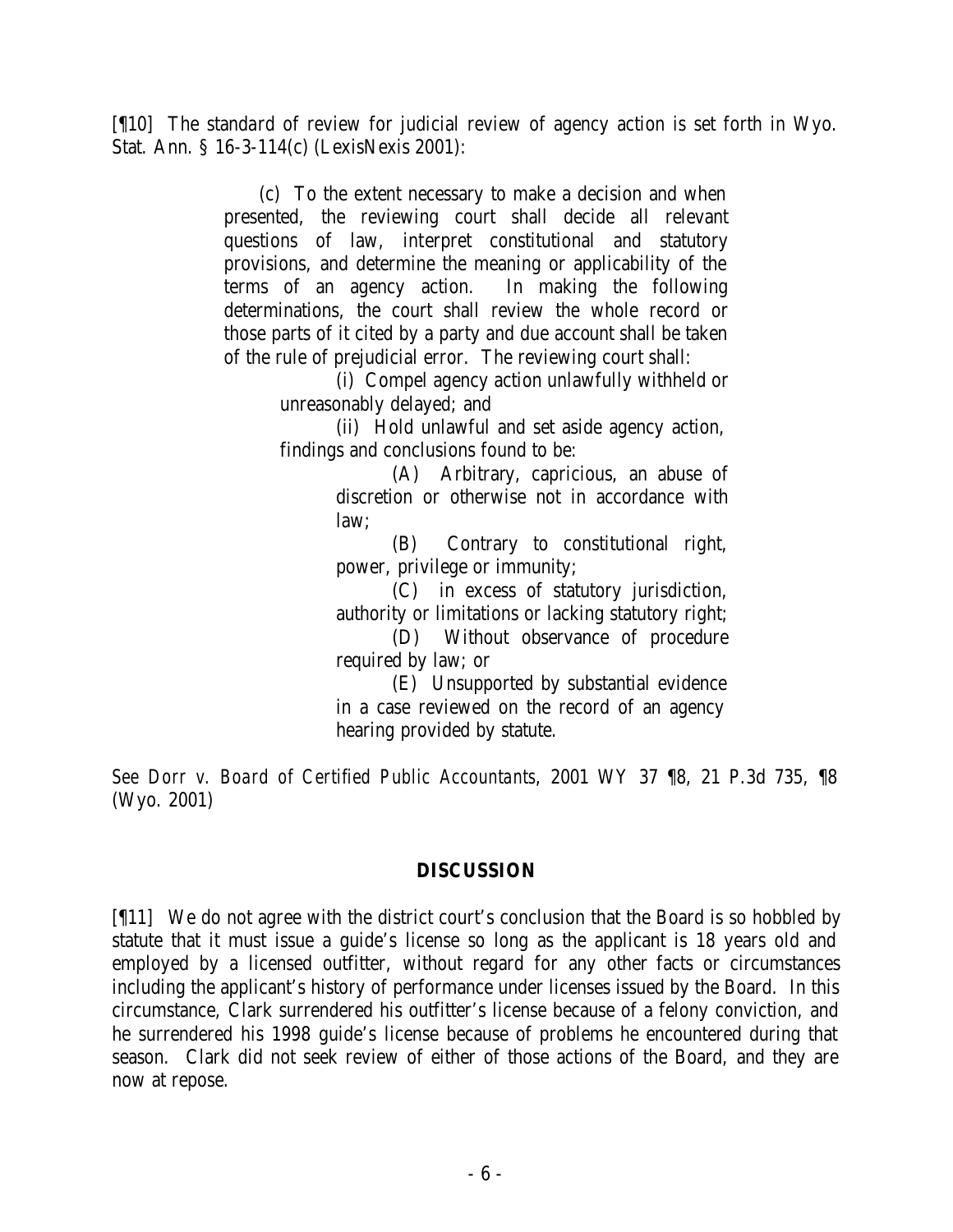[¶10] The standard of review for judicial review of agency action is set forth in Wyo. Stat. Ann. § 16-3-114(c) (LexisNexis 2001):

> (c) To the extent necessary to make a decision and when presented, the reviewing court shall decide all relevant questions of law, interpret constitutional and statutory provisions, and determine the meaning or applicability of the terms of an agency action. In making the following determinations, the court shall review the whole record or those parts of it cited by a party and due account shall be taken of the rule of prejudicial error. The reviewing court shall:

(i) Compel agency action unlawfully withheld or unreasonably delayed; and

(ii) Hold unlawful and set aside agency action, findings and conclusions found to be:

> (A) Arbitrary, capricious, an abuse of discretion or otherwise not in accordance with law;

> (B) Contrary to constitutional right, power, privilege or immunity;

> (C) in excess of statutory jurisdiction, authority or limitations or lacking statutory right; (D) Without observance of procedure required by law; or

(E) Unsupported by substantial evidence in a case reviewed on the record of an agency hearing provided by statute.

*See Dorr v. Board of Certified Public Accountants*, 2001 WY 37 ¶8, 21 P.3d 735, ¶8 (Wyo. 2001)

#### **DISCUSSION**

[¶11] We do not agree with the district court's conclusion that the Board is so hobbled by statute that it must issue a guide's license so long as the applicant is 18 years old and employed by a licensed outfitter, without regard for any other facts or circumstances including the applicant's history of performance under licenses issued by the Board. In this circumstance, Clark surrendered his outfitter's license because of a felony conviction, and he surrendered his 1998 guide's license because of problems he encountered during that season. Clark did not seek review of either of those actions of the Board, and they are now at repose.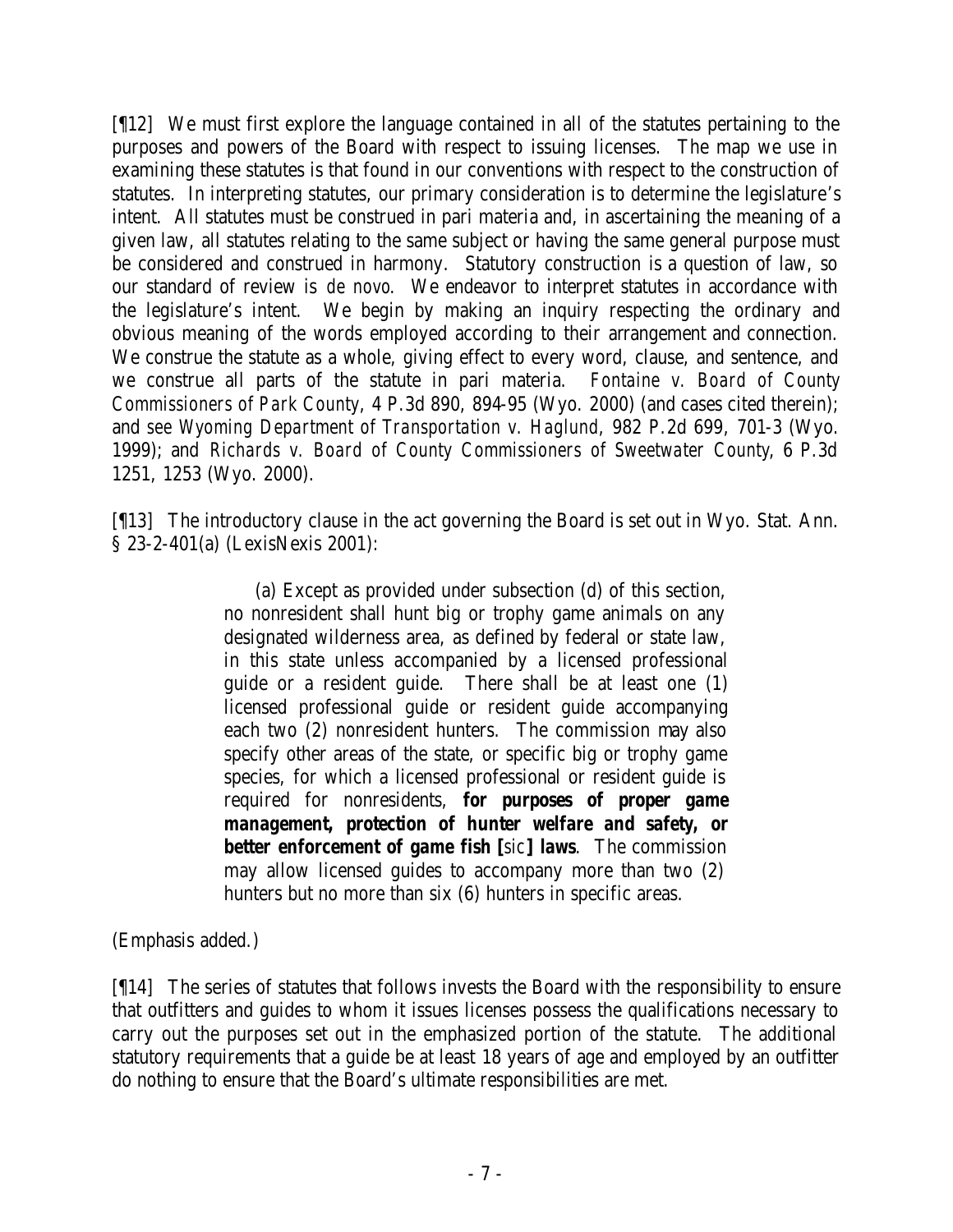[¶12] We must first explore the language contained in all of the statutes pertaining to the purposes and powers of the Board with respect to issuing licenses. The map we use in examining these statutes is that found in our conventions with respect to the construction of statutes. In interpreting statutes, our primary consideration is to determine the legislature's intent. All statutes must be construed in pari materia and, in ascertaining the meaning of a given law, all statutes relating to the same subject or having the same general purpose must be considered and construed in harmony. Statutory construction is a question of law, so our standard of review is *de novo*. We endeavor to interpret statutes in accordance with the legislature's intent. We begin by making an inquiry respecting the ordinary and obvious meaning of the words employed according to their arrangement and connection. We construe the statute as a whole, giving effect to every word, clause, and sentence, and we construe all parts of the statute in pari materia. *Fontaine v. Board of County Commissioners of Park County*, 4 P.3d 890, 894-95 (Wyo. 2000) (and cases cited therein); and *see Wyoming Department of Transportation v. Haglund*, 982 P.2d 699, 701-3 (Wyo. 1999); and *Richards v. Board of County Commissioners of Sweetwater County*, 6 P.3d 1251, 1253 (Wyo. 2000).

[¶13] The introductory clause in the act governing the Board is set out in Wyo. Stat. Ann. § 23-2-401(a) (LexisNexis 2001):

> (a) Except as provided under subsection (d) of this section, no nonresident shall hunt big or trophy game animals on any designated wilderness area, as defined by federal or state law, in this state unless accompanied by a licensed professional guide or a resident guide. There shall be at least one (1) licensed professional guide or resident guide accompanying each two (2) nonresident hunters. The commission may also specify other areas of the state, or specific big or trophy game species, for which a licensed professional or resident guide is required for nonresidents, *for purposes of proper game management, protection of hunter welfare and safety, or better enforcement of game fish* **[***sic***]** *laws*. The commission may allow licensed guides to accompany more than two (2) hunters but no more than six (6) hunters in specific areas.

(Emphasis added.)

[¶14] The series of statutes that follows invests the Board with the responsibility to ensure that outfitters and guides to whom it issues licenses possess the qualifications necessary to carry out the purposes set out in the emphasized portion of the statute. The additional statutory requirements that a guide be at least 18 years of age and employed by an outfitter do nothing to ensure that the Board's ultimate responsibilities are met.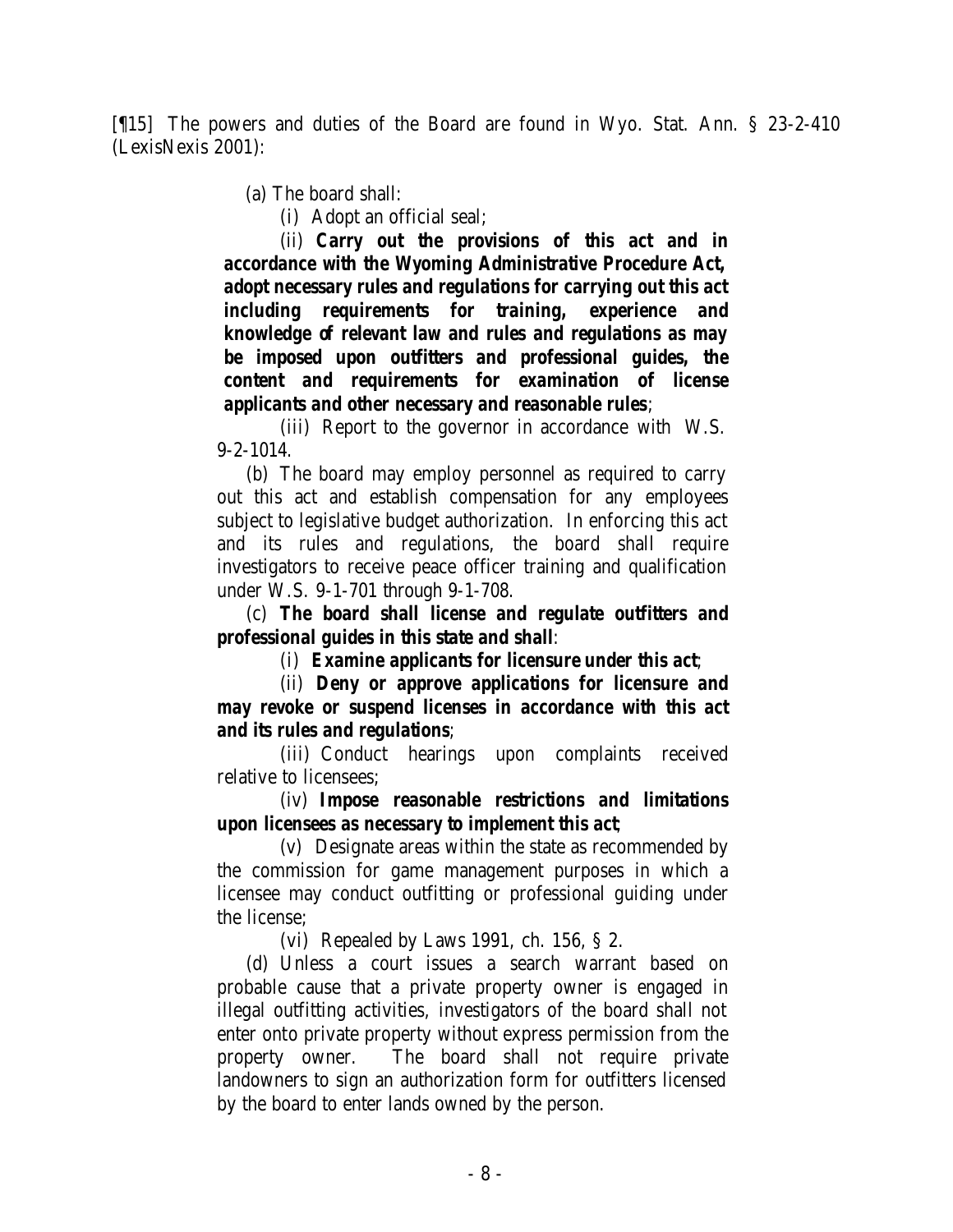[¶15] The powers and duties of the Board are found in Wyo. Stat. Ann. § 23-2-410 (LexisNexis 2001):

(a) The board shall:

(i) Adopt an official seal;

(ii) *Carry out the provisions of this act and in accordance with the Wyoming Administrative Procedure Act, adopt necessary rules and regulations for carrying out this act including requirements for training, experience and knowledge of relevant law and rules and regulations as may be imposed upon outfitters and professional guides, the content and requirements for examination of license applicants and other necessary and reasonable rules*;

(iii) Report to the governor in accordance with W.S. 9-2-1014.

 (b) The board may employ personnel as required to carry out this act and establish compensation for any employees subject to legislative budget authorization. In enforcing this act and its rules and regulations, the board shall require investigators to receive peace officer training and qualification under W.S. 9-1-701 through 9-1-708.

 (c) *The board shall license and regulate outfitters and professional guides in this state and shall*:

(i) *Examine applicants for licensure under this act*;

(ii) *Deny or approve applications for licensure and may revoke or suspend licenses in accordance with this act and its rules and regulations*;

(iii) Conduct hearings upon complaints received relative to licensees;

(iv) *Impose reasonable restrictions and limitations upon licensees as necessary to implement this act*;

(v) Designate areas within the state as recommended by the commission for game management purposes in which a licensee may conduct outfitting or professional guiding under the license;

(vi) Repealed by Laws 1991, ch. 156, § 2.

 (d) Unless a court issues a search warrant based on probable cause that a private property owner is engaged in illegal outfitting activities, investigators of the board shall not enter onto private property without express permission from the property owner. The board shall not require private landowners to sign an authorization form for outfitters licensed by the board to enter lands owned by the person.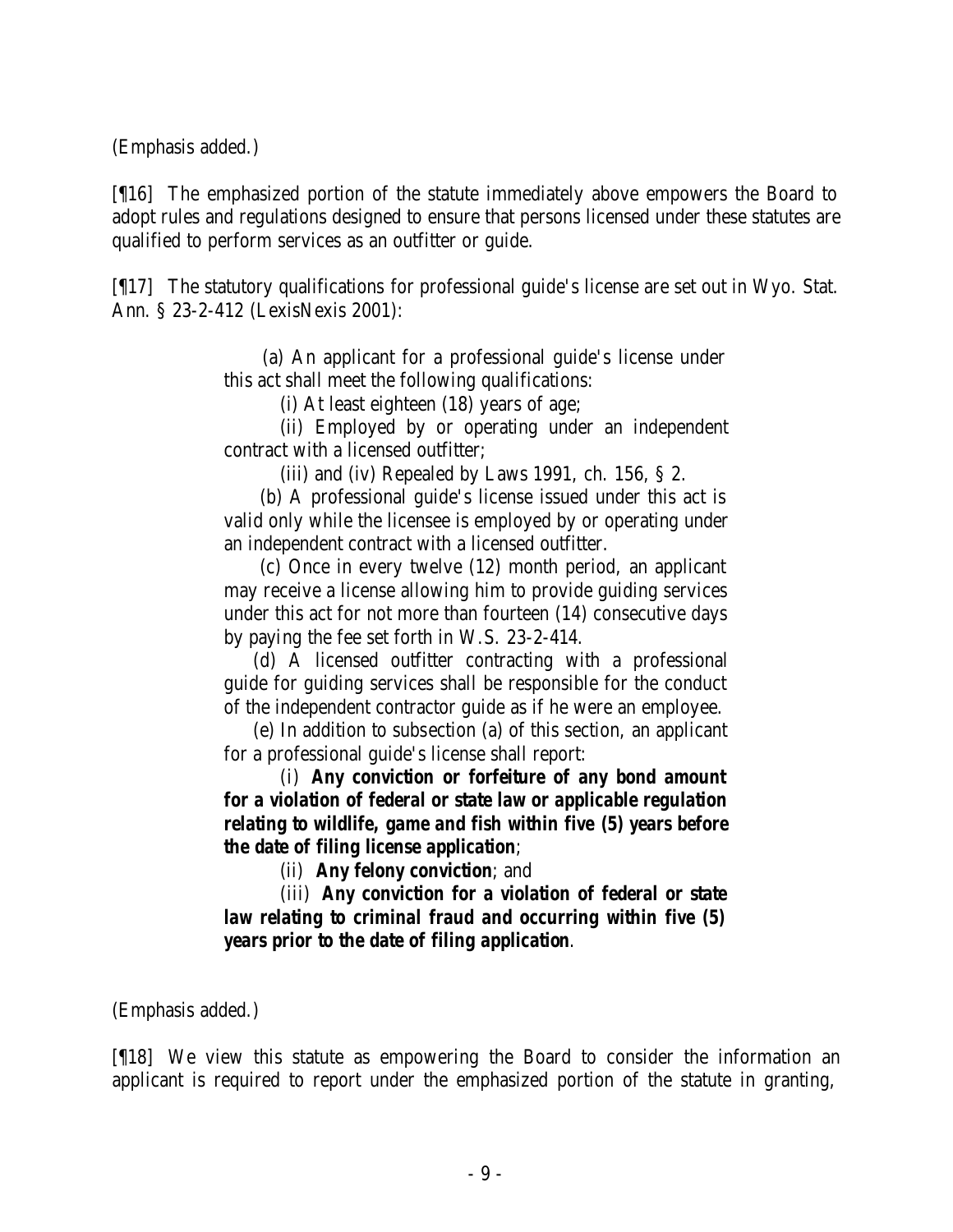(Emphasis added.)

[¶16] The emphasized portion of the statute immediately above empowers the Board to adopt rules and regulations designed to ensure that persons licensed under these statutes are qualified to perform services as an outfitter or guide.

[¶17] The statutory qualifications for professional guide's license are set out in Wyo. Stat. Ann. § 23-2-412 (LexisNexis 2001):

> (a) An applicant for a professional guide's license under this act shall meet the following qualifications:

> > (i) At least eighteen (18) years of age;

(ii) Employed by or operating under an independent contract with a licensed outfitter;

(iii) and (iv) Repealed by Laws 1991, ch.  $156$ ,  $\S$  2.

 (b) A professional guide's license issued under this act is valid only while the licensee is employed by or operating under an independent contract with a licensed outfitter.

 (c) Once in every twelve (12) month period, an applicant may receive a license allowing him to provide guiding services under this act for not more than fourteen (14) consecutive days by paying the fee set forth in W.S. 23-2-414.

 (d) A licensed outfitter contracting with a professional guide for guiding services shall be responsible for the conduct of the independent contractor guide as if he were an employee.

 (e) In addition to subsection (a) of this section, an applicant for a professional guide's license shall report:

(i) *Any conviction or forfeiture of any bond amount for a violation of federal or state law or applicable regulation relating to wildlife, game and fish within five (5) years before the date of filing license application*;

(ii) *Any felony conviction*; and

(iii) *Any conviction for a violation of federal or state law relating to criminal fraud and occurring within five (5) years prior to the date of filing application*.

(Emphasis added.)

[¶18] We view this statute as empowering the Board to consider the information an applicant is required to report under the emphasized portion of the statute in granting,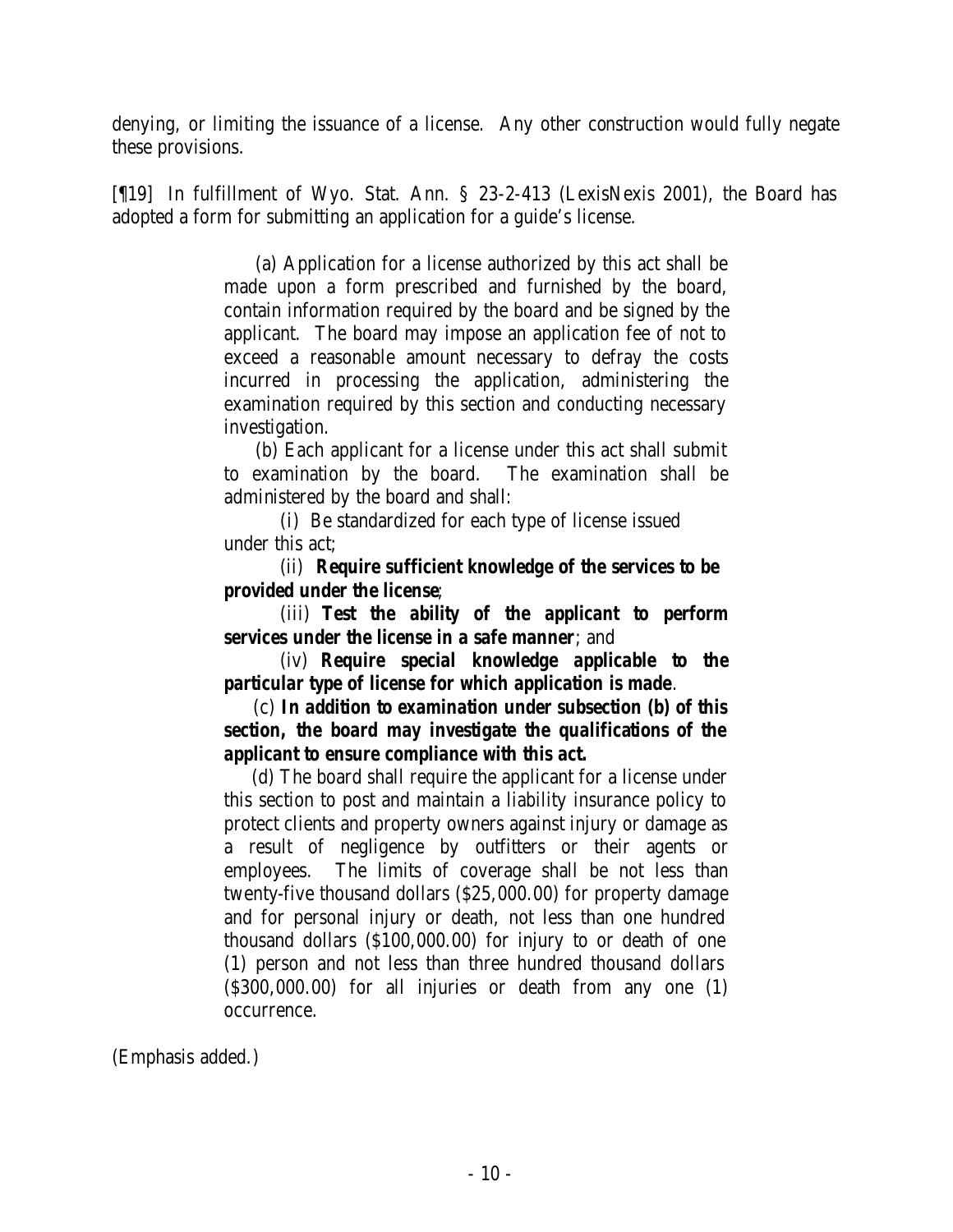denying, or limiting the issuance of a license. Any other construction would fully negate these provisions.

[¶19] In fulfillment of Wyo. Stat. Ann. § 23-2-413 (LexisNexis 2001), the Board has adopted a form for submitting an application for a guide's license.

> (a) Application for a license authorized by this act shall be made upon a form prescribed and furnished by the board, contain information required by the board and be signed by the applicant. The board may impose an application fee of not to exceed a reasonable amount necessary to defray the costs incurred in processing the application, administering the examination required by this section and conducting necessary investigation.

> (b) Each applicant for a license under this act shall submit to examination by the board. The examination shall be administered by the board and shall:

(i) Be standardized for each type of license issued under this act;

(ii) *Require sufficient knowledge of the services to be provided under the license*;

(iii) *Test the ability of the applicant to perform services under the license in a safe manner*; and

(iv) *Require special knowledge applicable to the particular type of license for which application is made*.

 (c) *In addition to examination under subsection (b) of this section, the board may investigate the qualifications of the applicant to ensure compliance with this act.*

 (d) The board shall require the applicant for a license under this section to post and maintain a liability insurance policy to protect clients and property owners against injury or damage as a result of negligence by outfitters or their agents or employees. The limits of coverage shall be not less than twenty-five thousand dollars (\$25,000.00) for property damage and for personal injury or death, not less than one hundred thousand dollars (\$100,000.00) for injury to or death of one (1) person and not less than three hundred thousand dollars (\$300,000.00) for all injuries or death from any one (1) occurrence.

(Emphasis added.)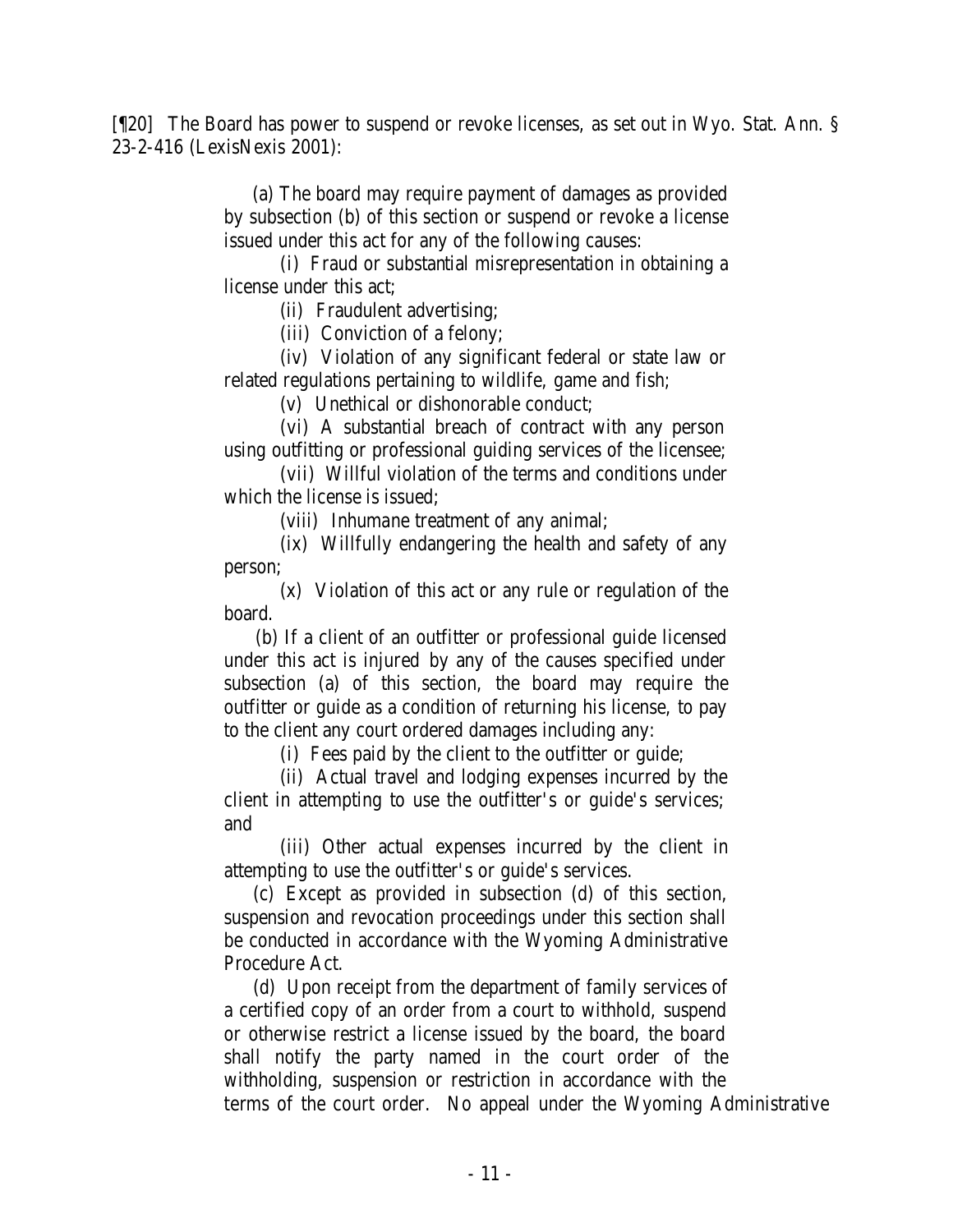[¶20] The Board has power to suspend or revoke licenses, as set out in Wyo. Stat. Ann. § 23-2-416 (LexisNexis 2001):

> (a) The board may require payment of damages as provided by subsection (b) of this section or suspend or revoke a license issued under this act for any of the following causes:

> (i) Fraud or substantial misrepresentation in obtaining a license under this act;

> > (ii) Fraudulent advertising;

(iii) Conviction of a felony;

(iv) Violation of any significant federal or state law or related regulations pertaining to wildlife, game and fish;

(v) Unethical or dishonorable conduct;

(vi) A substantial breach of contract with any person using outfitting or professional guiding services of the licensee;

(vii) Willful violation of the terms and conditions under which the license is issued;

(viii) Inhumane treatment of any animal;

(ix) Willfully endangering the health and safety of any person;

(x) Violation of this act or any rule or regulation of the board.

 (b) If a client of an outfitter or professional guide licensed under this act is injured by any of the causes specified under subsection (a) of this section, the board may require the outfitter or guide as a condition of returning his license, to pay to the client any court ordered damages including any:

(i) Fees paid by the client to the outfitter or guide;

(ii) Actual travel and lodging expenses incurred by the client in attempting to use the outfitter's or guide's services; and

(iii) Other actual expenses incurred by the client in attempting to use the outfitter's or guide's services.

 (c) Except as provided in subsection (d) of this section, suspension and revocation proceedings under this section shall be conducted in accordance with the Wyoming Administrative Procedure Act.

 (d) Upon receipt from the department of family services of a certified copy of an order from a court to withhold, suspend or otherwise restrict a license issued by the board, the board shall notify the party named in the court order of the withholding, suspension or restriction in accordance with the terms of the court order. No appeal under the Wyoming Administrative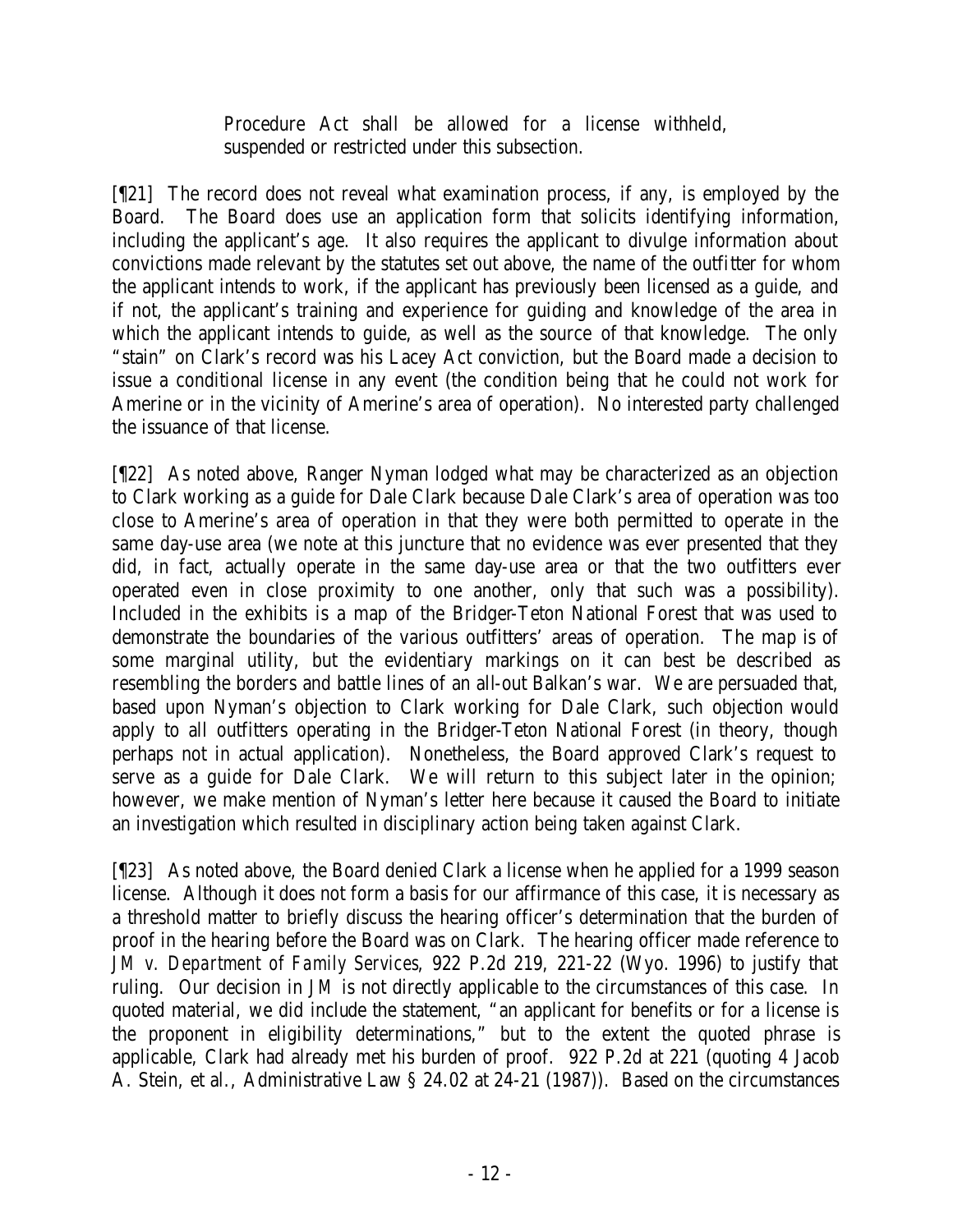Procedure Act shall be allowed for a license withheld, suspended or restricted under this subsection.

[¶21] The record does not reveal what examination process, if any, is employed by the Board. The Board does use an application form that solicits identifying information, including the applicant's age. It also requires the applicant to divulge information about convictions made relevant by the statutes set out above, the name of the outfitter for whom the applicant intends to work, if the applicant has previously been licensed as a guide, and if not, the applicant's training and experience for guiding and knowledge of the area in which the applicant intends to guide, as well as the source of that knowledge. The only "stain" on Clark's record was his Lacey Act conviction, but the Board made a decision to issue a conditional license in any event (the condition being that he could not work for Amerine or in the vicinity of Amerine's area of operation). No interested party challenged the issuance of that license.

[¶22] As noted above, Ranger Nyman lodged what may be characterized as an objection to Clark working as a guide for Dale Clark because Dale Clark's area of operation was too close to Amerine's area of operation in that they were both permitted to operate in the same day-use area (we note at this juncture that no evidence was ever presented that they did, in fact, actually operate in the same day-use area or that the two outfitters ever operated even in close proximity to one another, only that such was a possibility). Included in the exhibits is a map of the Bridger-Teton National Forest that was used to demonstrate the boundaries of the various outfitters' areas of operation. The map is of some marginal utility, but the evidentiary markings on it can best be described as resembling the borders and battle lines of an all-out Balkan's war. We are persuaded that, based upon Nyman's objection to Clark working for Dale Clark, such objection would apply to all outfitters operating in the Bridger-Teton National Forest (in theory, though perhaps not in actual application). Nonetheless, the Board approved Clark's request to serve as a guide for Dale Clark. We will return to this subject later in the opinion; however, we make mention of Nyman's letter here because it caused the Board to initiate an investigation which resulted in disciplinary action being taken against Clark.

[¶23] As noted above, the Board denied Clark a license when he applied for a 1999 season license. Although it does not form a basis for our affirmance of this case, it is necessary as a threshold matter to briefly discuss the hearing officer's determination that the burden of proof in the hearing before the Board was on Clark. The hearing officer made reference to *JM v. Department of Family Services*, 922 P.2d 219, 221-22 (Wyo. 1996) to justify that ruling. Our decision in *JM* is not directly applicable to the circumstances of this case. In quoted material, we did include the statement, "an applicant for benefits or for a license is the proponent in eligibility determinations," but to the extent the quoted phrase is applicable, Clark had already met his burden of proof. 922 P.2d at 221 (quoting 4 Jacob A. Stein, et al., Administrative Law § 24.02 at 24-21 (1987)). Based on the circumstances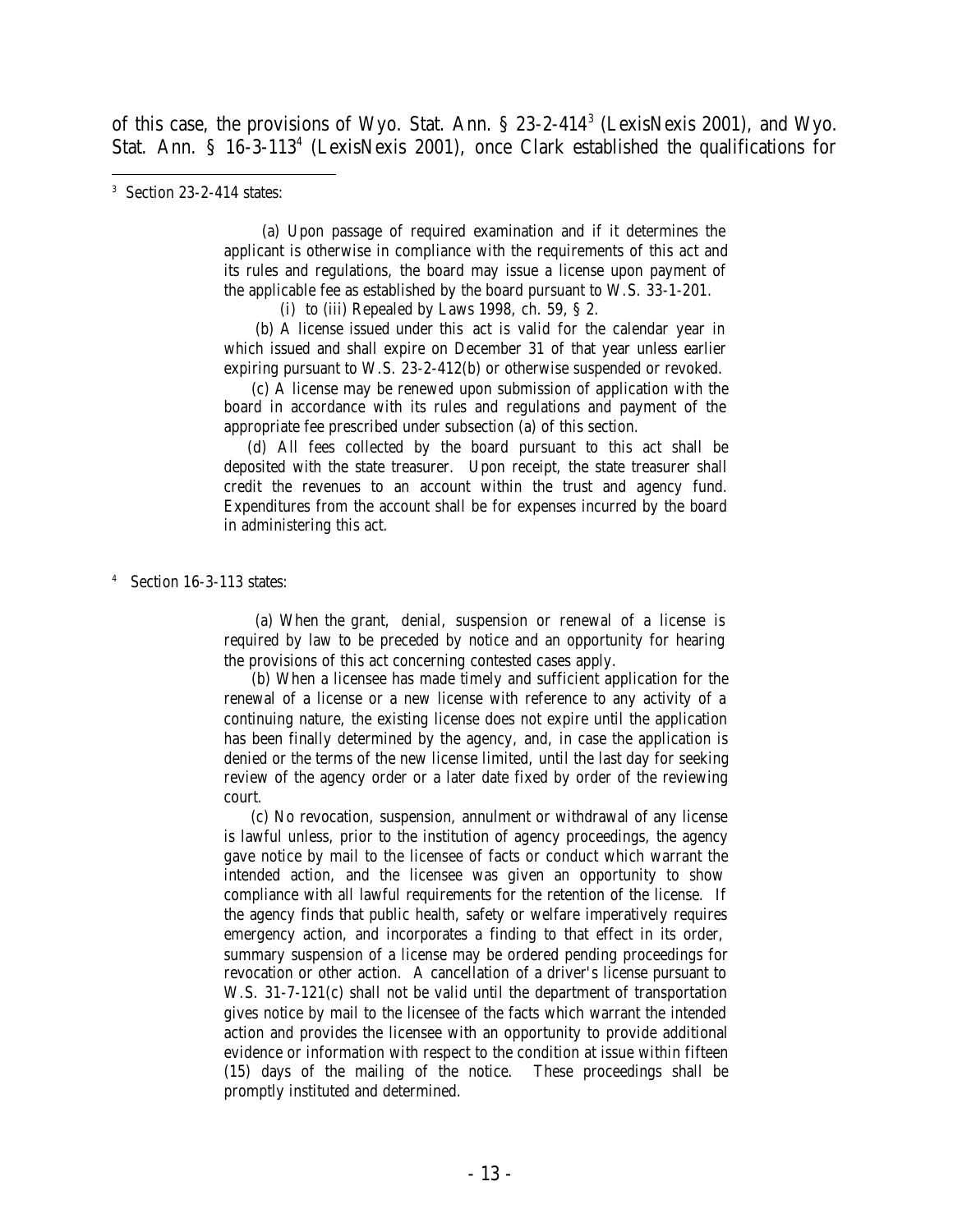of this case, the provisions of Wyo. Stat. Ann. § 23-2-414<sup>3</sup> (LexisNexis 2001), and Wyo. Stat. Ann. § 16-3-113<sup>4</sup> (LexisNexis 2001), once Clark established the qualifications for

 (a) Upon passage of required examination and if it determines the applicant is otherwise in compliance with the requirements of this act and its rules and regulations, the board may issue a license upon payment of the applicable fee as established by the board pursuant to W.S. 33-1-201.

(i) to (iii) Repealed by Laws 1998, ch. 59, § 2.

 (b) A license issued under this act is valid for the calendar year in which issued and shall expire on December 31 of that year unless earlier expiring pursuant to W.S. 23-2-412(b) or otherwise suspended or revoked.

 (c) A license may be renewed upon submission of application with the board in accordance with its rules and regulations and payment of the appropriate fee prescribed under subsection (a) of this section.

 (d) All fees collected by the board pursuant to this act shall be deposited with the state treasurer. Upon receipt, the state treasurer shall credit the revenues to an account within the trust and agency fund. Expenditures from the account shall be for expenses incurred by the board in administering this act.

4 Section 16-3-113 states:

 (a) When the grant, denial, suspension or renewal of a license is required by law to be preceded by notice and an opportunity for hearing the provisions of this act concerning contested cases apply.

 (b) When a licensee has made timely and sufficient application for the renewal of a license or a new license with reference to any activity of a continuing nature, the existing license does not expire until the application has been finally determined by the agency, and, in case the application is denied or the terms of the new license limited, until the last day for seeking review of the agency order or a later date fixed by order of the reviewing court.

 (c) No revocation, suspension, annulment or withdrawal of any license is lawful unless, prior to the institution of agency proceedings, the agency gave notice by mail to the licensee of facts or conduct which warrant the intended action, and the licensee was given an opportunity to show compliance with all lawful requirements for the retention of the license. If the agency finds that public health, safety or welfare imperatively requires emergency action, and incorporates a finding to that effect in its order, summary suspension of a license may be ordered pending proceedings for revocation or other action. A cancellation of a driver's license pursuant to W.S. 31-7-121(c) shall not be valid until the department of transportation gives notice by mail to the licensee of the facts which warrant the intended action and provides the licensee with an opportunity to provide additional evidence or information with respect to the condition at issue within fifteen (15) days of the mailing of the notice. These proceedings shall be promptly instituted and determined.

<sup>3</sup> Section 23-2-414 states: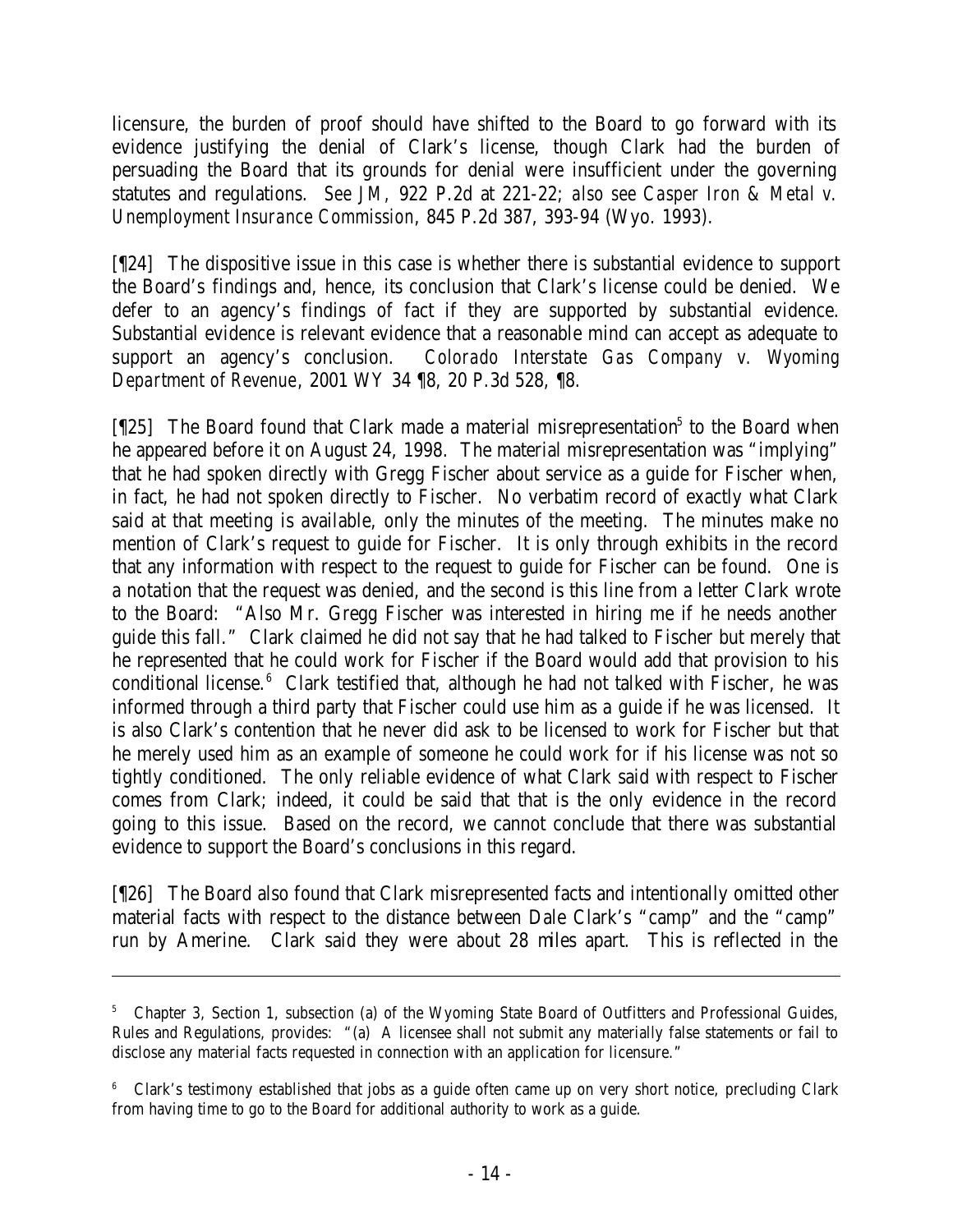licensure, the burden of proof should have shifted to the Board to go forward with its evidence justifying the denial of Clark's license, though Clark had the burden of persuading the Board that its grounds for denial were insufficient under the governing statutes and regulations. *See JM,* 922 P.2d at 221-22; *also see Casper Iron & Metal v. Unemployment Insurance Commission*, 845 P.2d 387, 393-94 (Wyo. 1993).

[¶24] The dispositive issue in this case is whether there is substantial evidence to support the Board's findings and, hence, its conclusion that Clark's license could be denied. We defer to an agency's findings of fact if they are supported by substantial evidence. Substantial evidence is relevant evidence that a reasonable mind can accept as adequate to support an agency's conclusion. *Colorado Interstate Gas Company v. Wyoming Department of Revenue*, 2001 WY 34 ¶8, 20 P.3d 528, ¶8.

[[25] The Board found that Clark made a material misrepresentation<sup>5</sup> to the Board when he appeared before it on August 24, 1998. The material misrepresentation was "implying" that he had spoken directly with Gregg Fischer about service as a guide for Fischer when, in fact, he had not spoken directly to Fischer. No verbatim record of exactly what Clark said at that meeting is available, only the minutes of the meeting. The minutes make no mention of Clark's request to guide for Fischer. It is only through exhibits in the record that any information with respect to the request to guide for Fischer can be found. One is a notation that the request was denied, and the second is this line from a letter Clark wrote to the Board: "Also Mr. Gregg Fischer was interested in hiring me if he needs another guide this fall." Clark claimed he did not say that he had talked to Fischer but merely that he represented that he could work for Fischer if the Board would add that provision to his conditional license. $6$  Clark testified that, although he had not talked with Fischer, he was informed through a third party that Fischer could use him as a guide if he was licensed. It is also Clark's contention that he never did ask to be licensed to work for Fischer but that he merely used him as an example of someone he could work for if his license was not so tightly conditioned. The only reliable evidence of what Clark said with respect to Fischer comes from Clark; indeed, it could be said that that is the only evidence in the record going to this issue. Based on the record, we cannot conclude that there was substantial evidence to support the Board's conclusions in this regard.

[¶26] The Board also found that Clark misrepresented facts and intentionally omitted other material facts with respect to the distance between Dale Clark's "camp" and the "camp" run by Amerine. Clark said they were about 28 miles apart. This is reflected in the

<sup>&</sup>lt;sup>5</sup> Chapter 3, Section 1, subsection (a) of the Wyoming State Board of Outfitters and Professional Guides, Rules and Regulations, provides: "(a) A licensee shall not submit any materially false statements or fail to disclose any material facts requested in connection with an application for licensure."

<sup>&</sup>lt;sup>6</sup> Clark's testimony established that jobs as a guide often came up on very short notice, precluding Clark from having time to go to the Board for additional authority to work as a guide.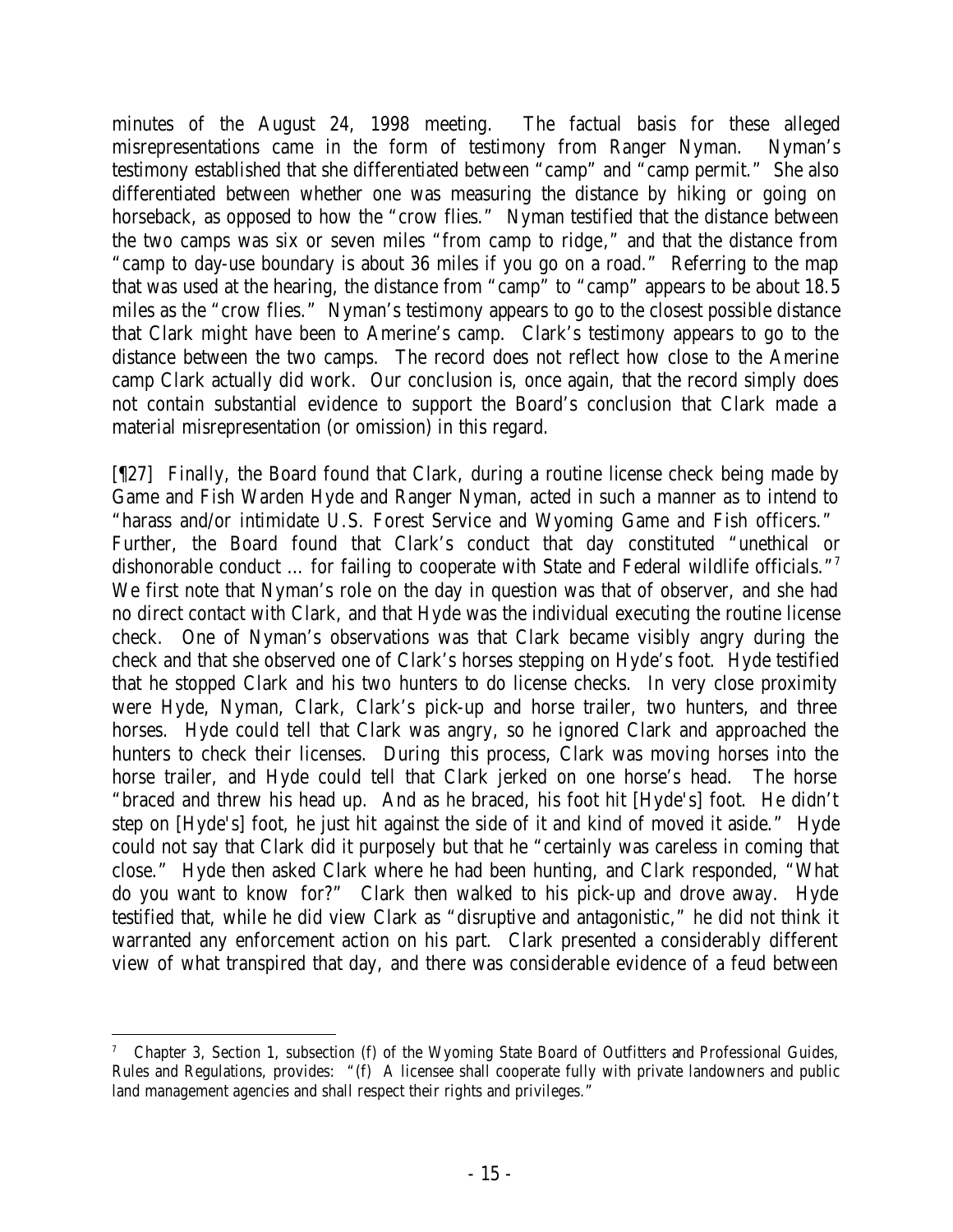minutes of the August 24, 1998 meeting. The factual basis for these alleged misrepresentations came in the form of testimony from Ranger Nyman. Nyman's testimony established that she differentiated between "camp" and "camp permit." She also differentiated between whether one was measuring the distance by hiking or going on horseback, as opposed to how the "crow flies." Nyman testified that the distance between the two camps was six or seven miles "from camp to ridge," and that the distance from "camp to day-use boundary is about 36 miles if you go on a road." Referring to the map that was used at the hearing, the distance from "camp" to "camp" appears to be about 18.5 miles as the "crow flies." Nyman's testimony appears to go to the closest possible distance that Clark might have been to Amerine's camp. Clark's testimony appears to go to the distance between the two camps. The record does not reflect how close to the Amerine camp Clark actually did work. Our conclusion is, once again, that the record simply does not contain substantial evidence to support the Board's conclusion that Clark made a material misrepresentation (or omission) in this regard.

[¶27] Finally, the Board found that Clark, during a routine license check being made by Game and Fish Warden Hyde and Ranger Nyman, acted in such a manner as to intend to "harass and/or intimidate U.S. Forest Service and Wyoming Game and Fish officers." Further, the Board found that Clark's conduct that day constituted "unethical or dishonorable conduct ... for failing to cooperate with State and Federal wildlife officials."<sup>7</sup> We first note that Nyman's role on the day in question was that of observer, and she had no direct contact with Clark, and that Hyde was the individual executing the routine license check. One of Nyman's observations was that Clark became visibly angry during the check and that she observed one of Clark's horses stepping on Hyde's foot. Hyde testified that he stopped Clark and his two hunters to do license checks. In very close proximity were Hyde, Nyman, Clark, Clark's pick-up and horse trailer, two hunters, and three horses. Hyde could tell that Clark was angry, so he ignored Clark and approached the hunters to check their licenses. During this process, Clark was moving horses into the horse trailer, and Hyde could tell that Clark jerked on one horse's head. The horse "braced and threw his head up. And as he braced, his foot hit [Hyde's] foot. He didn't step on [Hyde's] foot, he just hit against the side of it and kind of moved it aside." Hyde could not say that Clark did it purposely but that he "certainly was careless in coming that close." Hyde then asked Clark where he had been hunting, and Clark responded, "What do you want to know for?" Clark then walked to his pick-up and drove away. Hyde testified that, while he did view Clark as "disruptive and antagonistic," he did not think it warranted any enforcement action on his part. Clark presented a considerably different view of what transpired that day, and there was considerable evidence of a feud between

 7 Chapter 3, Section 1, subsection (f) of the Wyoming State Board of Outfitters and Professional Guides, Rules and Regulations, provides: "(f) A licensee shall cooperate fully with private landowners and public land management agencies and shall respect their rights and privileges."